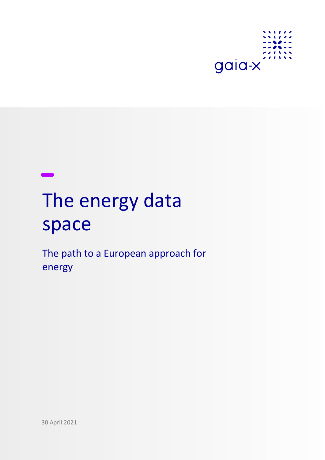

# The energy data space

The path to a European approach for energy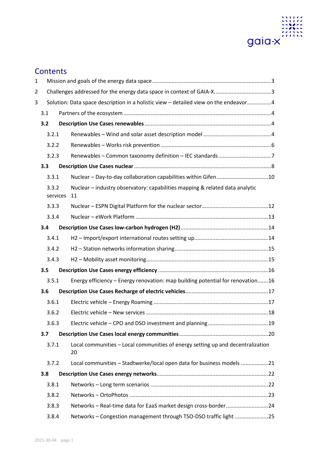

# **Contents**

| $\mathbf{1}$ |     |                                                                                      |                                                                                       |  |  |  |  |  |
|--------------|-----|--------------------------------------------------------------------------------------|---------------------------------------------------------------------------------------|--|--|--|--|--|
| 2            |     |                                                                                      | Challenges addressed for the energy data space in context of GAIA-X3                  |  |  |  |  |  |
| 3            |     | Solution: Data space description in a holistic view - detailed view on the endeavor4 |                                                                                       |  |  |  |  |  |
|              | 3.1 |                                                                                      |                                                                                       |  |  |  |  |  |
|              | 3.2 |                                                                                      |                                                                                       |  |  |  |  |  |
|              |     | 3.2.1                                                                                |                                                                                       |  |  |  |  |  |
|              |     | 3.2.2                                                                                |                                                                                       |  |  |  |  |  |
|              |     | 3.2.3                                                                                |                                                                                       |  |  |  |  |  |
|              | 3.3 |                                                                                      |                                                                                       |  |  |  |  |  |
|              |     | 3.3.1                                                                                | Nuclear - Day-to-day collaboration capabilities within Gifen 10                       |  |  |  |  |  |
|              |     | 3.3.2<br>services                                                                    | Nuclear - industry observatory: capabilities mapping & related data analytic<br>11    |  |  |  |  |  |
|              |     | 3.3.3                                                                                |                                                                                       |  |  |  |  |  |
|              |     | 3.3.4                                                                                |                                                                                       |  |  |  |  |  |
|              | 3.4 |                                                                                      |                                                                                       |  |  |  |  |  |
|              |     | 3.4.1                                                                                |                                                                                       |  |  |  |  |  |
|              |     | 3.4.2                                                                                |                                                                                       |  |  |  |  |  |
|              |     | 3.4.3                                                                                |                                                                                       |  |  |  |  |  |
|              | 3.5 |                                                                                      |                                                                                       |  |  |  |  |  |
|              |     | 3.5.1                                                                                | Energy efficiency - Energy renovation: map building potential for renovation16        |  |  |  |  |  |
|              | 3.6 |                                                                                      |                                                                                       |  |  |  |  |  |
|              |     | 3.6.1                                                                                |                                                                                       |  |  |  |  |  |
|              |     | 3.6.2                                                                                |                                                                                       |  |  |  |  |  |
|              |     | 3.6.3                                                                                |                                                                                       |  |  |  |  |  |
|              | 3.7 |                                                                                      |                                                                                       |  |  |  |  |  |
|              |     | 3.7.1                                                                                | Local communities - Local communities of energy setting up and decentralization<br>20 |  |  |  |  |  |
|              |     | 3.7.2                                                                                | Local communities - Stadtwerke/local open data for business models 21                 |  |  |  |  |  |
|              | 3.8 |                                                                                      |                                                                                       |  |  |  |  |  |
|              |     | 3.8.1                                                                                |                                                                                       |  |  |  |  |  |
|              |     | 3.8.2                                                                                |                                                                                       |  |  |  |  |  |
|              |     | 3.8.3                                                                                | Networks - Real-time data for EaaS market design cross-border24                       |  |  |  |  |  |
|              |     | 3.8.4                                                                                | Networks - Congestion management through TSO-DSO traffic light 25                     |  |  |  |  |  |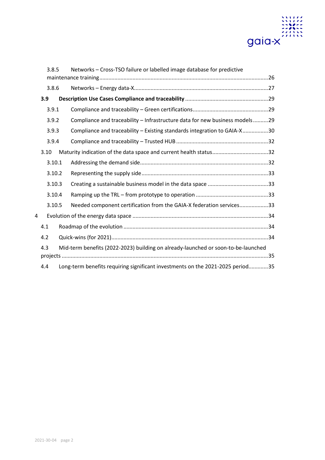

|   | 3.8.5  |  | Networks - Cross-TSO failure or labelled image database for predictive            |  |
|---|--------|--|-----------------------------------------------------------------------------------|--|
|   |        |  |                                                                                   |  |
|   | 3.8.6  |  |                                                                                   |  |
|   | 3.9    |  |                                                                                   |  |
|   | 3.9.1  |  |                                                                                   |  |
|   | 3.9.2  |  | Compliance and traceability - Infrastructure data for new business models29       |  |
|   | 3.9.3  |  | Compliance and traceability - Existing standards integration to GAIA-X30          |  |
|   | 3.9.4  |  |                                                                                   |  |
|   | 3.10   |  |                                                                                   |  |
|   | 3.10.1 |  |                                                                                   |  |
|   | 3.10.2 |  |                                                                                   |  |
|   | 3.10.3 |  |                                                                                   |  |
|   | 3.10.4 |  |                                                                                   |  |
|   | 3.10.5 |  | Needed component certification from the GAIA-X federation services33              |  |
| 4 |        |  |                                                                                   |  |
|   | 4.1    |  |                                                                                   |  |
|   | 4.2    |  |                                                                                   |  |
|   | 4.3    |  | Mid-term benefits (2022-2023) building on already-launched or soon-to-be-launched |  |
|   | 4.4    |  | Long-term benefits requiring significant investments on the 2021-2025 period35    |  |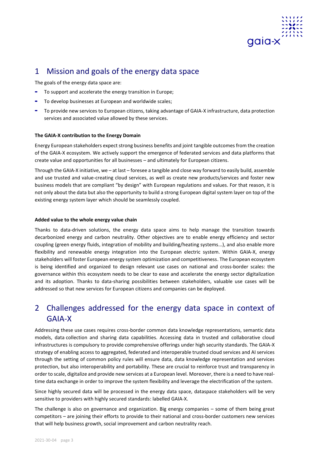

# <span id="page-3-0"></span>1 Mission and goals of the energy data space

The goals of the energy data space are:

- **-** To support and accelerate the energy transition in Europe;
- **-** To develop businesses at European and worldwide scales;
- **-** To provide new services to European citizens, taking advantage of GAIA-X infrastructure, data protection services and associated value allowed by these services.

## **The GAIA-X contribution to the Energy Domain**

Energy European stakeholders expect strong business benefits and joint tangible outcomes from the creation of the GAIA-X ecosystem. We actively support the emergence of federated services and data platforms that create value and opportunities for all businesses – and ultimately for European citizens.

Through the GAIA-X initiative, we – at last – foresee a tangible and close way forward to easily build, assemble and use trusted and value-creating cloud services, as well as create new products/services and foster new business models that are compliant "by design" with European regulations and values. For that reason, it is not only about the data but also the opportunity to build a strong European digital system layer on top of the existing energy system layer which should be seamlessly coupled.

## **Added value to the whole energy value chain**

Thanks to data-driven solutions, the energy data space aims to help manage the transition towards decarbonized energy and carbon neutrality. Other objectives are to enable energy efficiency and sector coupling (green energy fluids, integration of mobility and building/heating systems...), and also enable more flexibility and renewable energy integration into the European electric system. Within GAIA-X, energy stakeholders will foster European energy system optimization and competitiveness. The European ecosystem is being identified and organized to design relevant use cases on national and cross-border scales: the governance within this ecosystem needs to be clear to ease and accelerate the energy sector digitalization and its adoption. Thanks to data-sharing possibilities between stakeholders, valuable use cases will be addressed so that new services for European citizens and companies can be deployed.

# <span id="page-3-1"></span>2 Challenges addressed for the energy data space in context of GAIA-X

Addressing these use cases requires cross-border common data knowledge representations, semantic data models, data collection and sharing data capabilities. Accessing data in trusted and collaborative cloud infrastructures is compulsory to provide comprehensive offerings under high security standards. The GAIA-X strategy of enabling access to aggregated, federated and interoperable trusted cloud services and AI services through the setting of common policy rules will ensure data, data knowledge representation and services protection, but also interoperability and portability. These are crucial to reinforce trust and transparency in order to scale, digitalize and provide new services at a European level. Moreover, there is a need to have realtime data exchange in order to improve the system flexibility and leverage the electrification of the system.

Since highly secured data will be processed in the energy data space, dataspace stakeholders will be very sensitive to providers with highly secured standards: labelled GAIA-X.

The challenge is also on governance and organization. Big energy companies – some of them being great competitors – are joining their efforts to provide to their national and cross-border customers new services that will help business growth, social improvement and carbon neutrality reach.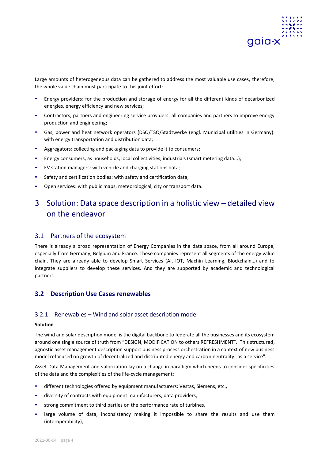

Large amounts of heterogeneous data can be gathered to address the most valuable use cases, therefore, the whole value chain must participate to this joint effort:

- **-** Energy providers: for the production and storage of energy for all the different kinds of decarbonized energies, energy efficiency and new services;
- **-** Contractors, partners and engineering service providers: all companies and partners to improve energy production and engineering;
- **-** Gas, power and heat network operators (DSO/TSO/Stadtwerke (engl. Municipal utilities in Germany): with energy transportation and distribution data;
- **-** Aggregators: collecting and packaging data to provide it to consumers;
- **-** Energy consumers, as households, local collectivities, industrials (smart metering data...);
- **-** EV station managers: with vehicle and charging stations data;
- **-** Safety and certification bodies: with safety and certification data;
- **-** Open services: with public maps, meteorological, city or transport data.

# <span id="page-4-0"></span>3 Solution: Data space description in a holistic view – detailed view on the endeavor

## <span id="page-4-1"></span>3.1 Partners of the ecosystem

There is already a broad representation of Energy Companies in the data space, from all around Europe, especially from Germany, Belgium and France. These companies represent all segments of the energy value chain. They are already able to develop Smart Services (AI, IOT, Machin Learning, Blockchain…) and to integrate suppliers to develop these services. And they are supported by academic and technological partners.

## <span id="page-4-2"></span>**3.2 Description Use Cases renewables**

## <span id="page-4-3"></span>3.2.1 Renewables – Wind and solar asset description model

## **Solution**

The wind and solar description model is the digital backbone to federate all the businesses and its ecosystem around one single source of truth from "DESIGN, MODIFICATION to others REFRESHMENT". This structured, agnostic asset management description support business process orchestration in a context of new business model refocused on growth of decentralized and distributed energy and carbon neutrality "as a service".

Asset Data Management and valorization lay on a change in paradigm which needs to consider specificities of the data and the complexities of the life-cycle management:

- **-** different technologies offered by equipment manufacturers: Vestas, Siemens, etc.,
- **-** diversity of contracts with equipment manufacturers, data providers,
- **-** strong commitment to third parties on the performance rate of turbines,
- **-** large volume of data, inconsistency making it impossible to share the results and use them (interoperability),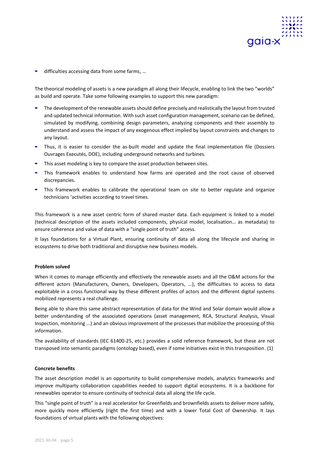

**-** difficulties accessing data from some farms, …

The theorical modeling of assets is a new paradigm all along their lifecycle, enabling to link the two "worlds" as build and operate. Take some following examples to support this new paradigm:

- **-** The development of the renewable assets should define precisely and realistically the layout from trusted and updated technical information. With such asset configuration management, scenario can be defined, simulated by modifying, combining design parameters, analyzing components and their assembly to understand and assess the impact of any exogenous effect implied by layout constraints and changes to any layout.
- **-** Thus, it is easier to consider the as-built model and update the final implementation file (Dossiers Ouvrages Executés, DOE), including underground networks and turbines.
- **-** This asset modeling is key to compare the asset production between sites.
- **-** This framework enables to understand how farms are operated and the root cause of observed discrepancies.
- **-** This framework enables to calibrate the operational team on site to better regulate and organize technicians 'activities according to travel times.

This framework is a new asset centric form of shared master data. Each equipment is linked to a model (technical description of the assets included components, physical model, localisation… as metadata) to ensure coherence and value of data with a "single point of truth" access.

It lays foundations for a Virtual Plant, ensuring continuity of data all along the lifecycle and sharing in ecosystems to drive both traditional and disruptive new business models.

#### **Problem solved**

When it comes to manage efficiently and effectively the renewable assets and all the O&M actions for the different actors (Manufacturers, Owners, Developers, Operators, ...), the difficulties to access to data exploitable in a cross functional way by these different profiles of actors and the different digital systems mobilized represents a real challenge.

Being able to share this same abstract representation of data for the Wind and Solar domain would allow a better understanding of the associated operations (asset management, RCA, Structural Analysis, Visual Inspection, monitoring ...) and an obvious improvement of the processes that mobilize the processing of this information.

The availability of standards (IEC 61400-25, etc.) provides a solid reference framework, but these are not transposed into semantic paradigms (ontology based), even if some initiatives exist in this transposition. (1)

## **Concrete benefits**

The asset description model is an opportunity to build comprehensive models, analytics frameworks and improve multiparty collaboration capabilities needed to support digital ecosystems. It is a backbone for renewables operator to ensure continuity of technical data all along the life cycle.

This "single point of truth" is a real accelerator for Greenfields and brownfields assets to deliver more safely, more quickly more efficiently (right the first time) and with a lower Total Cost of Ownership. It lays foundations of virtual plants with the following objectives: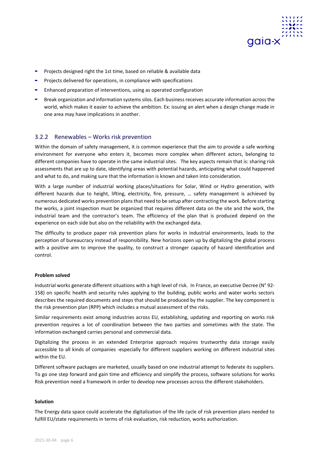

- **-** Projects designed right the 1st time, based on reliable & available data
- **-** Projects delivered for operations, in compliance with specifications
- **-** Enhanced preparation of interventions, using as operated configuration
- **-** Break organization and information systems silos. Each business receives accurate information across the world, which makes it easier to achieve the ambition. Ex: issuing an alert when a design change made in one area may have implications in another.

## <span id="page-6-0"></span>3.2.2 Renewables – Works risk prevention

Within the domain of safety management, it is common experience that the aim to provide a safe working environment for everyone who enters it, becomes more complex when different actors, belonging to different companies have to operate in the same industrial sites. The key aspects remain that is: sharing risk assessments that are up to date, identifying areas with potential hazards, anticipating what could happened and what to do, and making sure that the information is known and taken into consideration.

With a large number of industrial working places/situations for Solar, Wind or Hydro generation, with different hazards due to height, lifting, electricity, fire, pressure, … safety management is achieved by numerous dedicated works prevention plans that need to be setup after contracting the work. Before starting the works, a joint inspection must be organized that requires different data on the site and the work, the industrial team and the contractor's team. The efficiency of the plan that is produced depend on the experience on each side but also on the reliability with the exchanged data.

The difficulty to produce paper risk prevention plans for works in industrial environments, leads to the perception of bureaucracy instead of responsibility. New horizons open up by digitalizing the global process with a positive aim to improve the quality, to construct a stronger capacity of hazard identification and control.

## **Problem solved**

Industrial works generate different situations with a high level of risk. In France, an executive Decree (N° 92- 158) on specific health and security rules applying to the building, public works and water works sectors describes the required documents and steps that should be produced by the supplier. The key component is the risk prevention plan (RPP) which includes a mutual assessment of the risks.

Similar requirements exist among industries across EU, establishing, updating and reporting on works risk prevention requires a lot of coordination between the two parties and sometimes with the state. The information exchanged carries personal and commercial data.

Digitalizing the process in an extended Enterprise approach requires trustworthy data storage easily accessible to all kinds of companies -especially for different suppliers working on different industrial sites within the EU.

Different software packages are marketed, usually based on one industrial attempt to federate its suppliers. To go one step forward and gain time and efficiency and simplify the process, software solutions for works Risk prevention need a framework in order to develop new processes across the different stakeholders.

#### **Solution**

The Energy data space could accelerate the digitalization of the life cycle of risk prevention plans needed to fulfill EU/state requirements in terms of risk evaluation, risk reduction, works authorization.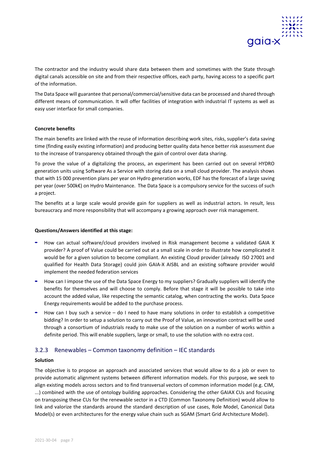

The contractor and the industry would share data between them and sometimes with the State through digital canals accessible on site and from their respective offices, each party, having access to a specific part of the information.

The Data Space will guarantee that personal/commercial/sensitive data can be processed and shared through different means of communication. It will offer facilities of integration with industrial IT systems as well as easy user interface for small companies.

## **Concrete benefits**

The main benefits are linked with the reuse of information describing work sites, risks, supplier's data saving time (finding easily existing information) and producing better quality data hence better risk assessment due to the increase of transparency obtained through the gain of control over data sharing.

To prove the value of a digitalizing the process, an experiment has been carried out on several HYDRO generation units using Software As a Service with storing data on a small cloud provider. The analysis shows that with 15 000 prevention plans per year on Hydro generation works, EDF has the forecast of a large saving per year (over 500k€) on Hydro Maintenance. The Data Space is a compulsory service for the success of such a project.

The benefits at a large scale would provide gain for suppliers as well as industrial actors. In result, less bureaucracy and more responsibility that will accompany a growing approach over risk management.

## **Questions/Answers identified at this stage:**

- **-** How can actual software/cloud providers involved in Risk management become a validated GAIA X provider? A proof of Value could be carried out at a small scale in order to illustrate how complicated it would be for a given solution to become compliant. An existing Cloud provider (already ISO 27001 and qualified for Health Data Storage) could join GAIA-X AISBL and an existing software provider would implement the needed federation services
- **-** How can I impose the use of the Data Space Energy to my suppliers? Gradually suppliers will identify the benefits for themselves and will choose to comply. Before that stage it will be possible to take into account the added value, like respecting the semantic catalog, when contracting the works. Data Space Energy requirements would be added to the purchase process.
- **-** How can I buy such a service do I need to have many solutions in order to establish a competitive bidding? In order to setup a solution to carry out the Proof of Value, an innovation contract will be used through a consortium of industrials ready to make use of the solution on a number of works within a definite period. This will enable suppliers, large or small, to use the solution with no extra cost.

## <span id="page-7-0"></span>3.2.3 Renewables – Common taxonomy definition – IEC standards

## **Solution**

The objective is to propose an approach and associated services that would allow to do a job or even to provide automatic alignment systems between different information models. For this purpose, we seek to align existing models across sectors and to find transversal vectors of common information model (e.g. CIM, ...) combined with the use of ontology building approaches. Considering the other GAIAX CUs and focusing on transposing these CUs for the renewable sector in a CTD (Common Taxonomy Definition) would allow to link and valorize the standards around the standard description of use cases, Role Model, Canonical Data Model(s) or even architectures for the energy value chain such as SGAM (Smart Grid Architecture Model).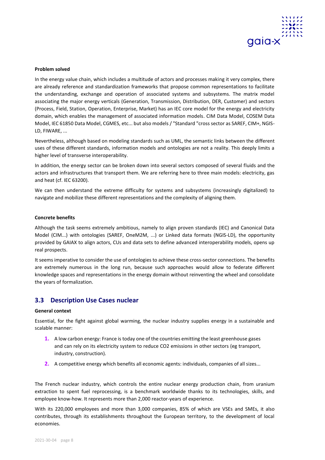

In the energy value chain, which includes a multitude of actors and processes making it very complex, there are already reference and standardization frameworks that propose common representations to facilitate the understanding, exchange and operation of associated systems and subsystems. The matrix model associating the major energy verticals (Generation, Transmission, Distribution, DER, Customer) and sectors (Process, Field, Station, Operation, Enterprise, Market) has an IEC core model for the energy and electricity domain, which enables the management of associated information models. CIM Data Model, COSEM Data Model, IEC 61850 Data Model, CGMES, etc... but also models / "Standard "cross sector as SAREF, CIM+, NGIS-LD, FIWARE, ...

Nevertheless, although based on modeling standards such as UML, the semantic links between the different uses of these different standards, information models and ontologies are not a reality. This deeply limits a higher level of transverse interoperability.

In addition, the energy sector can be broken down into several sectors composed of several fluids and the actors and infrastructures that transport them. We are referring here to three main models: electricity, gas and heat (cf. IEC 63200).

We can then understand the extreme difficulty for systems and subsystems (increasingly digitalized) to navigate and mobilize these different representations and the complexity of aligning them.

#### **Concrete benefits**

Although the task seems extremely ambitious, namely to align proven standards (IEC) and Canonical Data Model (CIM...) with ontologies (SAREF, OneM2M, ...) or Linked data formats (NGIS-LD), the opportunity provided by GAIAX to align actors, CUs and data sets to define advanced interoperability models, opens up real prospects.

It seems imperative to consider the use of ontologies to achieve these cross-sector connections. The benefits are extremely numerous in the long run, because such approaches would allow to federate different knowledge spaces and representations in the energy domain without reinventing the wheel and consolidate the years of formalization.

## <span id="page-8-0"></span>**3.3 Description Use Cases nuclear**

#### **General context**

Essential, for the fight against global warming, the nuclear industry supplies energy in a sustainable and scalable manner:

- **1.** A low carbon energy: France is today one of the countries emitting the least greenhouse gases and can rely on its electricity system to reduce CO2 emissions in other sectors (eg transport, industry, construction).
- **2.** A competitive energy which benefits all economic agents: individuals, companies of all sizes...

The French nuclear industry, which controls the entire nuclear energy production chain, from uranium extraction to spent fuel reprocessing, is a benchmark worldwide thanks to its technologies, skills, and employee know-how. It represents more than 2,000 reactor-years of experience.

With its 220,000 employees and more than 3,000 companies, 85% of which are VSEs and SMEs, it also contributes, through its establishments throughout the European territory, to the development of local economies.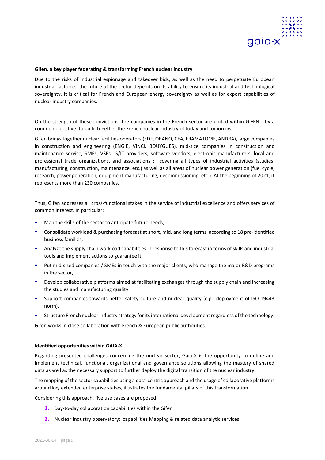

## **Gifen, a key player federating & transforming French nuclear industry**

Due to the risks of industrial espionage and takeover bids, as well as the need to perpetuate European industrial factories, the future of the sector depends on its ability to ensure its industrial and technological sovereignty. It is critical for French and European energy sovereignty as well as for export capabilities of nuclear industry companies.

On the strength of these convictions, the companies in the French sector are united within GIFEN - by a common objective: to build together the French nuclear industry of today and tomorrow.

Gifen brings together nuclear facilities operators (EDF, ORANO, CEA, FRAMATOME, ANDRA), large companies in construction and engineering (ENGIE, VINCI, BOUYGUES), mid-size companies in construction and maintenance service, SMEs, VSEs, IS/IT providers, software vendors, electronic manufacturers, local and professional trade organizations, and associations ; covering all types of industrial activities (studies, manufacturing, construction, maintenance, etc.) as well as all areas of nuclear power generation (fuel cycle, research, power generation, equipment manufacturing, decommissioning, etc.). At the beginning of 2021, it represents more than 230 companies.

Thus, Gifen addresses all cross-functional stakes in the service of industrial excellence and offers services of common interest. In particular:

- **-** Map the skills of the sector to anticipate future needs,
- **-** Consolidate workload & purchasing forecast at short, mid, and long terms. according to 18 pre-identified business families,
- **-** Analyze the supply chain workload capabilities in response to this forecast in terms of skills and industrial tools and implement actions to guarantee it.
- **-** Put mid-sized companies / SMEs in touch with the major clients, who manage the major R&D programs in the sector,
- **-** Develop collaborative platforms aimed at facilitating exchanges through the supply chain and increasing the studies and manufacturing quality.
- **-** Support companies towards better safety culture and nuclear quality (e.g.: deployment of ISO 19443 norm),
- **-** Structure French nuclear industry strategy for its international development regardless of the technology.

Gifen works in close collaboration with French & European public authorities.

#### **Identified opportunities within GAIA-X**

Regarding presented challenges concerning the nuclear sector, Gaia-X is the opportunity to define and implement technical, functional, organizational and governance solutions allowing the mastery of shared data as well as the necessary support to further deploy the digital transition of the nuclear industry.

The mapping of the sector capabilities using a data-centric approach and the usage of collaborative platforms around key extended enterprise stakes, illustrates the fundamental pillars of this transformation.

Considering this approach, five use cases are proposed:

- **1.** Day-to-day collaboration capabilities within the Gifen
- **2.** Nuclear industry observatory: capabilities Mapping & related data analytic services.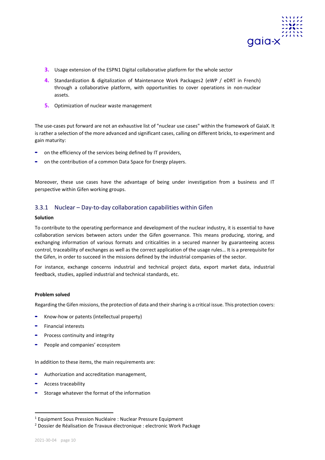

- **3.** Usage extension of the ESPN1 Digital collaborative platform for the whole sector
- **4.** Standardization & digitalization of Maintenance Work Packages2 (eWP / eDRT in French) through a collaborative platform, with opportunities to cover operations in non-nuclear assets.
- **5.** Optimization of nuclear waste management

The use-cases put forward are not an exhaustive list of "nuclear use cases" within the framework of GaiaX. It is rather a selection of the more advanced and significant cases, calling on different bricks, to experiment and gain maturity:

- **-** on the efficiency of the services being defined by IT providers,
- **-** on the contribution of a common Data Space for Energy players.

Moreover, these use cases have the advantage of being under investigation from a business and IT perspective within Gifen working groups.

## <span id="page-10-0"></span>3.3.1 Nuclear – Day-to-day collaboration capabilities within Gifen

## **Solution**

To contribute to the operating performance and development of the nuclear industry, it is essential to have collaboration services between actors under the Gifen governance. This means producing, storing, and exchanging information of various formats and criticalities in a secured manner by guaranteeing access control, traceability of exchanges as well as the correct application of the usage rules… It is a prerequisite for the Gifen, in order to succeed in the missions defined by the industrial companies of the sector.

For instance, exchange concerns industrial and technical project data, export market data, industrial feedback, studies, applied industrial and technical standards, etc.

## **Problem solved**

Regarding the Gifen missions, the protection of data and their sharing is a critical issue. This protection covers:

- **-** Know-how or patents (intellectual property)
- **-** Financial interests
- **-** Process continuity and integrity
- **-** People and companies' ecosystem

In addition to these items, the main requirements are:

- **-** Authorization and accreditation management,
- **-** Access traceability
- **-** Storage whatever the format of the information

<sup>1</sup> Equipment Sous Pression Nucléaire : Nuclear Pressure Equipment

<sup>&</sup>lt;sup>2</sup> Dossier de Réalisation de Travaux électronique : electronic Work Package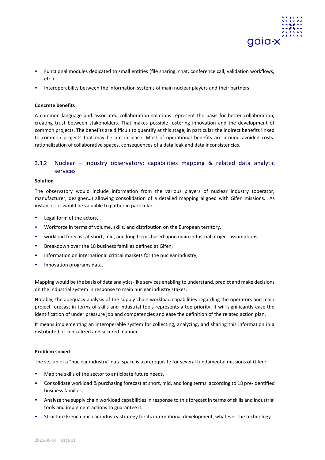

- **-** Functional modules dedicated to small entities (file sharing, chat, conference call, validation workflows, etc.)
- **-** Interoperability between the information systems of main nuclear players and their partners.

## **Concrete benefits**

A common language and associated collaboration solutions represent the basis for better collaboration, creating trust between stakeholders. That makes possible fostering innovation and the development of common projects. The benefits are difficult to quantify at this stage, in particular the indirect benefits linked to common projects that may be put in place. Most of operational benefits are around avoided costs: rationalization of collaborative spaces, consequences of a data leak and data inconsistencies.

## <span id="page-11-0"></span>3.3.2 Nuclear – industry observatory: capabilities mapping & related data analytic services

## **Solution**

The observatory would include information from the various players of nuclear industry (operator, manufacturer, designer…) allowing consolidation of a detailed mapping aligned with Gifen missions. As instances, it would be valuable to gather in particular:

- **-** Legal form of the actors,
- **-** Workforce in terms of volume, skills, and distribution on the European territory,
- **-** workload forecast at short, mid, and long terms based upon main industrial project assumptions,
- **-** Breakdown over the 18 business families defined at Gifen,
- **-** Information on international critical markets for the nuclear industry,
- **-** Innovation programs data,

Mapping would be the basis of data analytics-like services enabling to understand, predict and make decisions on the industrial system in response to main nuclear industry stakes.

Notably, the adequacy analysis of the supply chain workload capabilities regarding the operators and main project forecast in terms of skills and industrial tools represents a top priority. It will significantly ease the identification of under pressure job and competencies and ease the definition of the related action plan.

It means implementing an interoperable system for collecting, analyzing, and sharing this information in a distributed or centralized and secured manner.

## **Problem solved**

The set-up of a "nuclear industry" data space is a prerequisite for several fundamental missions of Gifen:

- **-** Map the skills of the sector to anticipate future needs,
- **-** Consolidate workload & purchasing forecast at short, mid, and long terms. according to 18 pre-identified business families,
- **-** Analyze the supply chain workload capabilities in response to this forecast in terms of skills and industrial tools and implement actions to guarantee it.
- **-** Structure French nuclear industry strategy for its international development, whatever the technology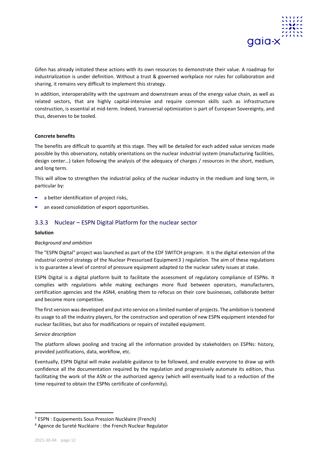

Gifen has already initiated these actions with its own resources to demonstrate their value. A roadmap for industrialization is under definition. Without a trust & governed workplace nor rules for collaboration and sharing, it remains very difficult to implement this strategy.

In addition, interoperability with the upstream and downstream areas of the energy value chain, as well as related sectors, that are highly capital-intensive and require common skills such as infrastructure construction, is essential at mid-term. Indeed, transversal optimization is part of European Sovereignty, and thus, deserves to be tooled.

## **Concrete benefits**

The benefits are difficult to quantify at this stage. They will be detailed for each added value services made possible by this observatory, notably orientations on the nuclear industrial system (manufacturing facilities, design center…) taken following the analysis of the adequacy of charges / resources in the short, medium, and long term.

This will allow to strengthen the industrial policy of the nuclear industry in the medium and long term, in particular by:

- **-** a better identification of project risks,
- **-** an eased consolidation of export opportunities.

## <span id="page-12-0"></span>3.3.3 Nuclear – ESPN Digital Platform for the nuclear sector

## **Solution**

## *Background and ambition*

The "ESPN Digital" project was launched as part of the EDF SWITCH program. It is the digital extension of the industrial control strategy of the Nuclear Pressurised Equipment3 ) regulation. The aim of these regulations is to guarantee a level of control of pressure equipment adapted to the nuclear safety issues at stake.

ESPN Digital is a digital platform built to facilitate the assessment of regulatory compliance of ESPNs. It complies with regulations while making exchanges more fluid between operators, manufacturers, certification agencies and the ASN4, enabling them to refocus on their core businesses, collaborate better and become more competitive.

The first version was developed and put into service on a limited number of projects. The ambition is toextend its usage to all the industry players, for the construction and operation of new ESPN equipment intended for nuclear facilities, but also for modifications or repairs of installed equipment.

## *Service description*

The platform allows pooling and tracing all the information provided by stakeholders on ESPNs: history, provided justifications, data, workflow, etc.

Eventually, ESPN Digital will make available guidance to be followed, and enable everyone to draw up with confidence all the documentation required by the regulation and progressively automate its edition, thus facilitating the work of the ASN or the authorized agency (which will eventually lead to a reduction of the time required to obtain the ESPNs certificate of conformity).

<sup>3</sup> ESPN : Equipements Sous Pression Nucléaire (French)

<sup>4</sup> Agence de Sureté Nucléaire : the French Nuclear Regulator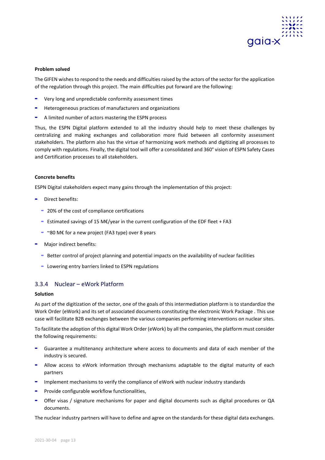

The GIFEN wishes to respond to the needs and difficulties raised by the actors of the sector for the application of the regulation through this project. The main difficulties put forward are the following:

- **-** Very long and unpredictable conformity assessment times
- **-** Heterogeneous practices of manufacturers and organizations
- **-** A limited number of actors mastering the ESPN process

Thus, the ESPN Digital platform extended to all the industry should help to meet these challenges by centralizing and making exchanges and collaboration more fluid between all conformity assessment stakeholders. The platform also has the virtue of harmonizing work methods and digitizing all processes to comply with regulations. Finally, the digital tool will offer a consolidated and 360° vision of ESPN Safety Cases and Certification processes to all stakeholders.

## **Concrete benefits**

ESPN Digital stakeholders expect many gains through the implementation of this project:

- **-** Direct benefits:
	- **-** 20% of the cost of compliance certifications
	- **-** Estimated savings of 15 M€/year in the current configuration of the EDF fleet + FA3
	- **-** ~80 M€ for a new project (FA3 type) over 8 years
- **-** Major indirect benefits:
	- **-** Better control of project planning and potential impacts on the availability of nuclear facilities
	- **-** Lowering entry barriers linked to ESPN regulations

## <span id="page-13-0"></span>3.3.4 Nuclear – eWork Platform

## **Solution**

As part of the digitization of the sector, one of the goals of this intermediation platform is to standardize the Work Order (eWork) and its set of associated documents constituting the electronic Work Package . This use case will facilitate B2B exchanges between the various companies performing interventions on nuclear sites.

To facilitate the adoption of this digital Work Order (eWork) by all the companies, the platform must consider the following requirements:

- **-** Guarantee a multitenancy architecture where access to documents and data of each member of the industry is secured.
- **-** Allow access to eWork information through mechanisms adaptable to the digital maturity of each partners
- **-** Implement mechanisms to verify the compliance of eWork with nuclear industry standards
- **-** Provide configurable workflow functionalities,
- **-** Offer visas / signature mechanisms for paper and digital documents such as digital procedures or QA documents.

The nuclear industry partners will have to define and agree on the standards for these digital data exchanges.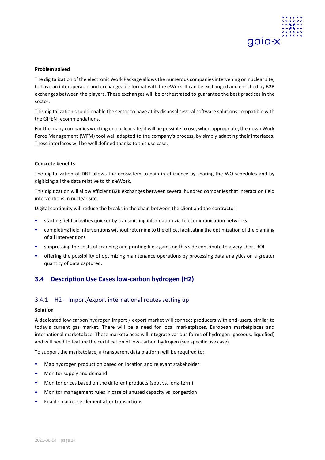

The digitalization of the electronic Work Package allows the numerous companies intervening on nuclear site, to have an interoperable and exchangeable format with the eWork. It can be exchanged and enriched by B2B exchanges between the players. These exchanges will be orchestrated to guarantee the best practices in the sector.

This digitalization should enable the sector to have at its disposal several software solutions compatible with the GIFEN recommendations.

For the many companies working on nuclear site, it will be possible to use, when appropriate, their own Work Force Management (WFM) tool well adapted to the company's process, by simply adapting their interfaces. These interfaces will be well defined thanks to this use case.

## **Concrete benefits**

The digitalization of DRT allows the ecosystem to gain in efficiency by sharing the WO schedules and by digitizing all the data relative to this eWork.

This digitization will allow efficient B2B exchanges between several hundred companies that interact on field interventions in nuclear site.

Digital continuity will reduce the breaks in the chain between the client and the contractor:

- **-** starting field activities quicker by transmitting information via telecommunication networks
- **-** completing field interventions without returning to the office, facilitating the optimization of the planning of all interventions
- **-** suppressing the costs of scanning and printing files; gains on this side contribute to a very short ROI.
- **-** offering the possibility of optimizing maintenance operations by processing data analytics on a greater quantity of data captured.

## <span id="page-14-0"></span>**3.4 Description Use Cases low-carbon hydrogen (H2)**

## <span id="page-14-1"></span>3.4.1 H2 – Import/export international routes setting up

## **Solution**

A dedicated low-carbon hydrogen import / export market will connect producers with end-users, similar to today's current gas market. There will be a need for local marketplaces, European marketplaces and international marketplace. These marketplaces will integrate various forms of hydrogen (gaseous, liquefied) and will need to feature the certification of low-carbon hydrogen (see specific use case).

To support the marketplace, a transparent data platform will be required to:

- **-** Map hydrogen production based on location and relevant stakeholder
- **-** Monitor supply and demand
- **-** Monitor prices based on the different products (spot vs. long-term)
- **-** Monitor management rules in case of unused capacity vs. congestion
- **-** Enable market settlement after transactions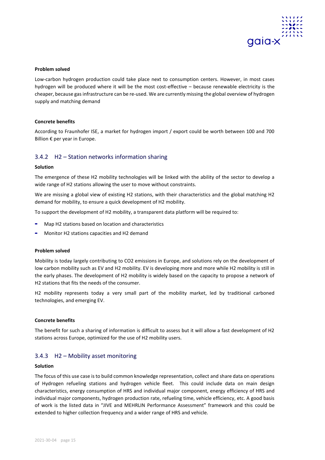

Low-carbon hydrogen production could take place next to consumption centers. However, in most cases hydrogen will be produced where it will be the most cost-effective – because renewable electricity is the cheaper, because gas infrastructure can be re-used. We are currently missing the global overview of hydrogen supply and matching demand

## **Concrete benefits**

According to Fraunhofer ISE, a market for hydrogen import / export could be worth between 100 and 700 Billion € per year in Europe.

## <span id="page-15-0"></span>3.4.2 H2 – Station networks information sharing

#### **Solution**

The emergence of these H2 mobility technologies will be linked with the ability of the sector to develop a wide range of H2 stations allowing the user to move without constraints.

We are missing a global view of existing H2 stations, with their characteristics and the global matching H2 demand for mobility, to ensure a quick development of H2 mobility.

To support the development of H2 mobility, a transparent data platform will be required to:

- **-** Map H2 stations based on location and characteristics
- **-** Monitor H2 stations capacities and H2 demand

#### **Problem solved**

Mobility is today largely contributing to CO2 emissions in Europe, and solutions rely on the development of low carbon mobility such as EV and H2 mobility. EV is developing more and more while H2 mobility is still in the early phases. The development of H2 mobility is widely based on the capacity to propose a network of H2 stations that fits the needs of the consumer.

H2 mobility represents today a very small part of the mobility market, led by traditional carboned technologies, and emerging EV.

## **Concrete benefits**

The benefit for such a sharing of information is difficult to assess but it will allow a fast development of H2 stations across Europe, optimized for the use of H2 mobility users.

## <span id="page-15-1"></span>3.4.3 H2 – Mobility asset monitoring

#### **Solution**

The focus of this use case is to build common knowledge representation, collect and share data on operations of Hydrogen refueling stations and hydrogen vehicle fleet. This could include data on main design characteristics, energy consumption of HRS and individual major component, energy efficiency of HRS and individual major components, hydrogen production rate, refueling time, vehicle efficiency, etc. A good basis of work is the listed data in "JIVE and MEHRLIN Performance Assessment" framework and this could be extended to higher collection frequency and a wider range of HRS and vehicle.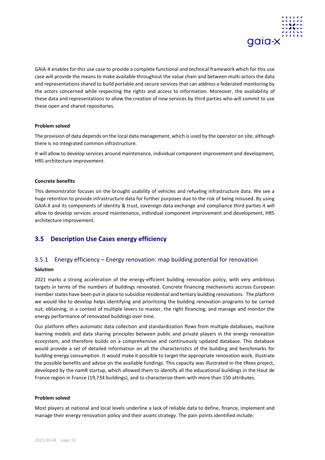

GAIA-X enables for this use case to provide a complete functional and technical framework which for this use case will provide the means to make available throughout the value chain and between multi-actors the data and representations shared to build portable and secure services that can address a federated monitoring by the actors concerned while respecting the rights and access to information. Moreover, the availability of these data and representations to allow the creation of new services by third parties who will commit to use these open and shared repositories.

## **Problem solved**

The provision of data depends on the local data management, which is used by the operator on site, although there is no integrated common infrastructure.

It will allow to develop services around maintenance, individual component improvement and development, HRS architecture improvement.

## **Concrete benefits**

This demonstrator focuses on the brought usability of vehicles and refueling infrastructure data. We see a huge retention to provide infrastructure data for further purposes due to the risk of being misused. By using GAIA-X and its components of identity & trust, sovereign data exchange and compliance third parties it will allow to develop services around maintenance, individual component improvement and development, HRS architecture improvement.

## <span id="page-16-0"></span>**3.5 Description Use Cases energy efficiency**

## <span id="page-16-1"></span>3.5.1 Energy efficiency – Energy renovation: map building potential for renovation

## **Solution**

2021 marks a strong acceleration of the energy-efficient building renovation policy, with very ambitious targets in terms of the numbers of buildings renovated. Concrete financing mechanisms accross European member states have been put in place to subsidize residential and tertiary building renovations. The platform we would like to develop helps identifying and prioritizing the building renovation programs to be carried out; obtaining, in a context of multiple levers to master, the right financing; and manage and monitor the energy performance of renovated buildings over time.

Our platform offers automatic data collection and standardization flows from multiple databases, machine learning models and data sharing principles between public and private players in the energy renovation ecosystem, and therefore builds on a comprehensive and continuously updated database. This database would provide a set of detailed information on all the characteristics of the building and benchmarks for building energy consumption. It would make it possible to target the appropriate renovation work, illustrate the possible benefits and advise on the available fundings. This capacity was illustrated in the tRees project, developed by the namR startup, which allowed them to identify all the educational buildings in the Haut de France region in France (19,734 buildings), and to characterize them with more than 150 attributes.

## **Problem solved**

Most players at national and local levels underline a lack of reliable data to define, finance, implement and manage their energy renovation policy and their assets strategy. The pain points identified include: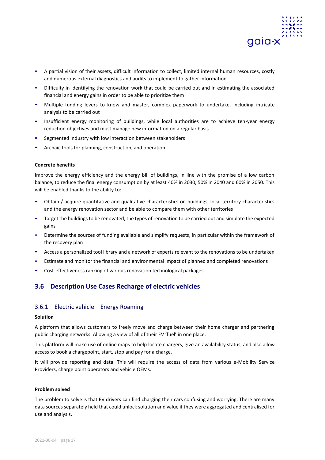

- **-** A partial vision of their assets, difficult information to collect, limited internal human resources, costly and numerous external diagnostics and audits to implement to gather information
- **-** Difficulty in identifying the renovation work that could be carried out and in estimating the associated financial and energy gains in order to be able to prioritize them
- **-** Multiple funding levers to know and master, complex paperwork to undertake, including intricate analysis to be carried out
- **-** Insufficient energy monitoring of buildings, while local authorities are to achieve ten-year energy reduction objectives and must manage new information on a regular basis
- **-** Segmented industry with low interaction between stakeholders
- **-** Archaic tools for planning, construction, and operation

## **Concrete benefits**

Improve the energy efficiency and the energy bill of buildings, in line with the promise of a low carbon balance, to reduce the final energy consumption by at least 40% in 2030, 50% in 2040 and 60% in 2050. This will be enabled thanks to the ability to:

- **-** Obtain / acquire quantitative and qualitative characteristics on buildings, local territory characteristics and the energy renovation sector and be able to compare them with other territories
- **-** Target the buildings to be renovated, the types of renovation to be carried out and simulate the expected gains
- **-** Determine the sources of funding available and simplify requests, in particular within the framework of the recovery plan
- **-** Access a personalized tool library and a network of experts relevant to the renovations to be undertaken
- **-** Estimate and monitor the financial and environmental impact of planned and completed renovations
- **-** Cost-effectiveness ranking of various renovation technological packages

## <span id="page-17-0"></span>**3.6 Description Use Cases Recharge of electric vehicles**

## <span id="page-17-1"></span>3.6.1 Electric vehicle – Energy Roaming

## **Solution**

A platform that allows customers to freely move and charge between their home charger and partnering public charging networks. Allowing a view of all of their EV 'fuel' in one place.

This platform will make use of online maps to help locate chargers, give an availability status, and also allow access to book a chargepoint, start, stop and pay for a charge.

It will provide reporting and data. This will require the access of data from various e-Mobility Service Providers, charge point operators and vehicle OEMs.

#### **Problem solved**

The problem to solve is that EV drivers can find charging their cars confusing and worrying. There are many data sources separately held that could unlock solution and value if they were aggregated and centralised for use and analysis.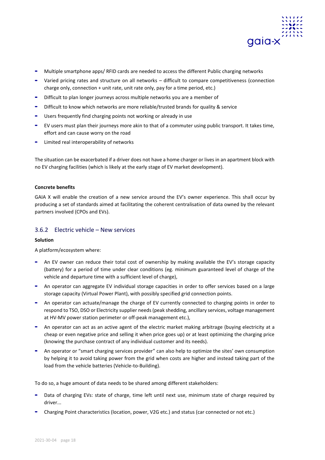

- **-** Multiple smartphone apps/ RFID cards are needed to access the different Public charging networks
- **-** Varied pricing rates and structure on all networks difficult to compare competitiveness (connection charge only, connection + unit rate, unit rate only, pay for a time period, etc.)
- **-** Difficult to plan longer journeys across multiple networks you are a member of
- **-** Difficult to know which networks are more reliable/trusted brands for quality & service
- **-** Users frequently find charging points not working or already in use
- **-** EV users must plan their journeys more akin to that of a commuter using public transport. It takes time, effort and can cause worry on the road
- **-** Limited real interoperability of networks

The situation can be exacerbated if a driver does not have a home charger or lives in an apartment block with no EV charging facilities (which is likely at the early stage of EV market development).

## **Concrete benefits**

GAIA X will enable the creation of a new service around the EV's owner experience. This shall occur by producing a set of standards aimed at facilitating the coherent centralisation of data owned by the relevant partners involved (CPOs and EVs).

## <span id="page-18-0"></span>3.6.2 Electric vehicle – New services

## **Solution**

A platform/ecosystem where:

- **-** An EV owner can reduce their total cost of ownership by making available the EV's storage capacity (battery) for a period of time under clear conditions (eg. minimum guaranteed level of charge of the vehicle and departure time with a sufficient level of charge),
- **-** An operator can aggregate EV individual storage capacities in order to offer services based on a large storage capacity (Virtual Power Plant), with possibly specified grid connection points.
- **-** An operator can actuate/manage the charge of EV currently connected to charging points in order to respond to TSO, DSO or Electricity supplier needs (peak shedding, ancillary services, voltage management at HV-MV power station perimeter or off-peak management etc.),
- **-** An operator can act as an active agent of the electric market making arbitrage (buying electricity at a cheap or even negative price and selling it when price goes up) or at least optimizing the charging price (knowing the purchase contract of any individual customer and its needs).
- **-** An operator or "smart charging services provider" can also help to optimize the sites' own consumption by helping it to avoid taking power from the grid when costs are higher and instead taking part of the load from the vehicle batteries (Vehicle-to-Building).

To do so, a huge amount of data needs to be shared among different stakeholders:

- **-** Data of charging EVs: state of charge, time left until next use, minimum state of charge required by driver...
- **-** Charging Point characteristics (location, power, V2G etc.) and status (car connected or not etc.)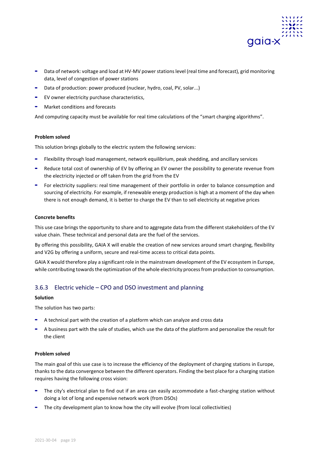

- **-** Data of network: voltage and load at HV-MV power stations level (real time and forecast), grid monitoring data, level of congestion of power stations
- **-** Data of production: power produced (nuclear, hydro, coal, PV, solar...)
- **-** EV owner electricity purchase characteristics,
- **-** Market conditions and forecasts

And computing capacity must be available for real time calculations of the "smart charging algorithms".

## **Problem solved**

This solution brings globally to the electric system the following services:

- **-** Flexibility through load management, network equilibrium, peak shedding, and ancillary services
- **-** Reduce total cost of ownership of EV by offering an EV owner the possibility to generate revenue from the electricity injected or off taken from the grid from the EV
- **-** For electricity suppliers: real time management of their portfolio in order to balance consumption and sourcing of electricity. For example, if renewable energy production is high at a moment of the day when there is not enough demand, it is better to charge the EV than to sell electricity at negative prices

## **Concrete benefits**

This use case brings the opportunity to share and to aggregate data from the different stakeholders of the EV value chain. These technical and personal data are the fuel of the services.

By offering this possibility, GAIA X will enable the creation of new services around smart charging, flexibility and V2G by offering a uniform, secure and real-time access to critical data points.

GAIA X would therefore play a significant role in the mainstream development of the EV ecosystem in Europe, while contributing towards the optimization of the whole electricity process from production to consumption.

## <span id="page-19-0"></span>3.6.3 Electric vehicle – CPO and DSO investment and planning

## **Solution**

The solution has two parts:

- **-** A technical part with the creation of a platform which can analyze and cross data
- **-** A business part with the sale of studies, which use the data of the platform and personalize the result for the client

## **Problem solved**

The main goal of this use case is to increase the efficiency of the deployment of charging stations in Europe, thanks to the data convergence between the different operators. Finding the best place for a charging station requires having the following cross vision:

- **-** The city's electrical plan to find out if an area can easily accommodate a fast-charging station without doing a lot of long and expensive network work (from DSOs)
- **-** The city development plan to know how the city will evolve (from local collectivities)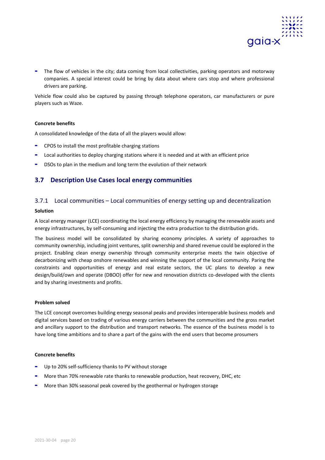

**-** The flow of vehicles in the city; data coming from local collectivities, parking operators and motorway companies. A special interest could be bring by data about where cars stop and where professional drivers are parking.

Vehicle flow could also be captured by passing through telephone operators, car manufacturers or pure players such as Waze.

## **Concrete benefits**

A consolidated knowledge of the data of all the players would allow:

- **-** CPOS to install the most profitable charging stations
- **-** Local authorities to deploy charging stations where it is needed and at with an efficient price
- **-** DSOs to plan in the medium and long term the evolution of their network

## <span id="page-20-0"></span>**3.7 Description Use Cases local energy communities**

## <span id="page-20-1"></span>3.7.1 Local communities – Local communities of energy setting up and decentralization

#### **Solution**

A local energy manager (LCE) coordinating the local energy efficiency by managing the renewable assets and energy infrastructures, by self-consuming and injecting the extra production to the distribution grids.

The business model will be consolidated by sharing economy principles. A variety of approaches to community ownership, including joint ventures, split ownership and shared revenue could be explored in the project. Enabling clean energy ownership through community enterprise meets the twin objective of decarbonizing with cheap onshore renewables and winning the support of the local community. Paring the constraints and opportunities of energy and real estate sectors, the UC plans to develop a new design/build/own and operate (DBOO) offer for new and renovation districts co-developed with the clients and by sharing investments and profits.

## **Problem solved**

The LCE concept overcomes building energy seasonal peaks and provides interoperable business models and digital services based on trading of various energy carriers between the communities and the gross market and ancillary support to the distribution and transport networks. The essence of the business model is to have long time ambitions and to share a part of the gains with the end users that become prosumers

## **Concrete benefits**

- **-** Up to 20% self-sufficiency thanks to PV without storage
- **-** More than 70% renewable rate thanks to renewable production, heat recovery, DHC, etc
- <span id="page-20-2"></span>**-** More than 30% seasonal peak covered by the geothermal or hydrogen storage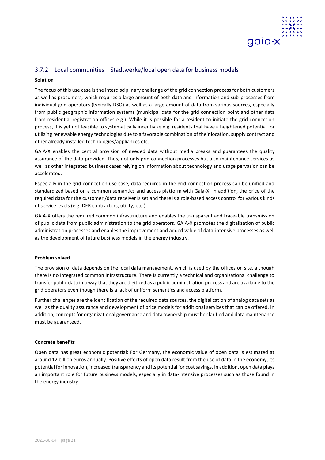

## 3.7.2 Local communities – Stadtwerke/local open data for business models

## **Solution**

The focus of this use case is the interdisciplinary challenge of the grid connection process for both customers as well as prosumers, which requires a large amount of both data and information and sub-processes from individual grid operators (typically DSO) as well as a large amount of data from various sources, especially from public geographic information systems (municipal data for the grid connection point and other data from residential registration offices e.g.). While it is possible for a resident to initiate the grid connection process, it is yet not feasible to systematically incentivize e.g. residents that have a heightened potential for utilizing renewable energy technologies due to a favorable combination of their location, supply contract and other already installed technologies/appliances etc.

GAIA-X enables the central provision of needed data without media breaks and guarantees the quality assurance of the data provided. Thus, not only grid connection processes but also maintenance services as well as other integrated business cases relying on information about technology and usage pervasion can be accelerated.

Especially in the grid connection use case, data required in the grid connection process can be unified and standardized based on a common semantics and access platform with Gaia-X. In addition, the price of the required data for the customer /data receiver is set and there is a role-based access control for various kinds of service levels (e.g. DER contractors, utility, etc.).

GAIA-X offers the required common infrastructure and enables the transparent and traceable transmission of public data from public administration to the grid operators. GAIA-X promotes the digitalization of public administration processes and enables the improvement and added value of data-intensive processes as well as the development of future business models in the energy industry.

## **Problem solved**

The provision of data depends on the local data management, which is used by the offices on site, although there is no integrated common infrastructure. There is currently a technical and organizational challenge to transfer public data in a way that they are digitized as a public administration process and are available to the grid operators even though there is a lack of uniform semantics and access platform.

Further challenges are the identification of the required data sources, the digitalization of analog data sets as well as the quality assurance and development of price models for additional services that can be offered. In addition, concepts for organizational governance and data ownership must be clarified and data maintenance must be guaranteed.

## **Concrete benefits**

Open data has great economic potential: For Germany, the economic value of open data is estimated at around 12 billion euros annually. Positive effects of open data result from the use of data in the economy, its potential for innovation, increased transparency and its potential for cost savings. In addition, open data plays an important role for future business models, especially in data-intensive processes such as those found in the energy industry.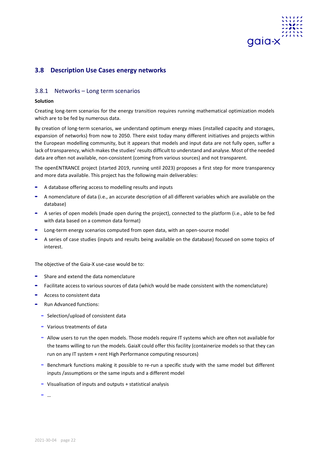

## <span id="page-22-0"></span>**3.8 Description Use Cases energy networks**

## <span id="page-22-1"></span>3.8.1 Networks – Long term scenarios

## **Solution**

Creating long-term scenarios for the energy transition requires running mathematical optimization models which are to be fed by numerous data.

By creation of long-term scenarios, we understand optimum energy mixes (installed capacity and storages, expansion of networks) from now to 2050. There exist today many different initiatives and projects within the European modelling community, but it appears that models and input data are not fully open, suffer a lack of transparency, which makes the studies' results difficult to understand and analyse. Most of the needed data are often not available, non-consistent (coming from various sources) and not transparent.

The openENTRANCE project (started 2019, running until 2023) proposes a first step for more transparency and more data available. This project has the following main deliverables:

- **-** A database offering access to modelling results and inputs
- **-** A nomenclature of data (i.e., an accurate description of all different variables which are available on the database)
- **-** A series of open models (made open during the project), connected to the platform (i.e., able to be fed with data based on a common data format)
- **-** Long-term energy scenarios computed from open data, with an open-source model
- **-** A series of case studies (inputs and results being available on the database) focused on some topics of interest.

The objective of the Gaia-X use-case would be to:

- **-** Share and extend the data nomenclature
- **-** Facilitate access to various sources of data (which would be made consistent with the nomenclature)
- **-** Access to consistent data
- **-** Run Advanced functions:
	- **-** Selection/upload of consistent data
	- **-** Various treatments of data
	- **-** Allow users to run the open models. Those models require IT systems which are often not available for the teams willing to run the models. GaiaX could offer this facility (containerize models so that they can run on any IT system + rent High Performance computing resources)
	- **-** Benchmark functions making it possible to re-run a specific study with the same model but different inputs /assumptions or the same inputs and a different model
	- **-** Visualisation of inputs and outputs + statistical analysis

**-** …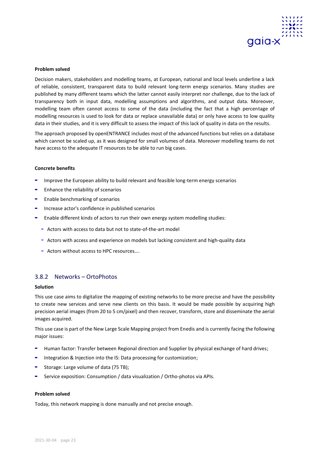

Decision makers, stakeholders and modelling teams, at European, national and local levels underline a lack of reliable, consistent, transparent data to build relevant long-term energy scenarios. Many studies are published by many different teams which the latter cannot easily interpret nor challenge, due to the lack of transparency both in input data, modelling assumptions and algorithms, and output data. Moreover, modelling team often cannot access to some of the data (including the fact that a high percentage of modelling resources is used to look for data or replace unavailable data) or only have access to low quality data in their studies, and it is very difficult to assess the impact of this lack of quality in data on the results.

The approach proposed by openENTRANCE includes most of the advanced functions but relies on a database which cannot be scaled up, as it was designed for small volumes of data. Moreover modelling teams do not have access to the adequate IT resources to be able to run big cases.

## **Concrete benefits**

- **-** Improve the European ability to build relevant and feasible long-term energy scenarios
- **-** Enhance the reliability of scenarios
- **-** Enable benchmarking of scenarios
- **-** Increase actor's confidence in published scenarios
- **-** Enable different kinds of actors to run their own energy system modelling studies:
	- **-** Actors with access to data but not to state-of-the-art model
	- **-** Actors with access and experience on models but lacking consistent and high-quality data
	- **-** Actors without access to HPC resources….

## <span id="page-23-0"></span>3.8.2 Networks – OrtoPhotos

#### **Solution**

This use case aims to digitalize the mapping of existing networks to be more precise and have the possibility to create new services and serve new clients on this basis. It would be made possible by acquiring high precision aerial images (from 20 to 5 cm/pixel) and then recover, transform, store and disseminate the aerial images acquired.

This use case is part of the New Large Scale Mapping project from Enedis and is currently facing the following major issues:

- **-** Human factor: Transfer between Regional direction and Supplier by physical exchange of hard drives;
- **-** Integration & Injection into the IS: Data processing for customization;
- **-** Storage: Large volume of data (75 TB);
- **-** Service exposition: Consumption / data visualization / Ortho-photos via APIs.

## **Problem solved**

Today, this network mapping is done manually and not precise enough.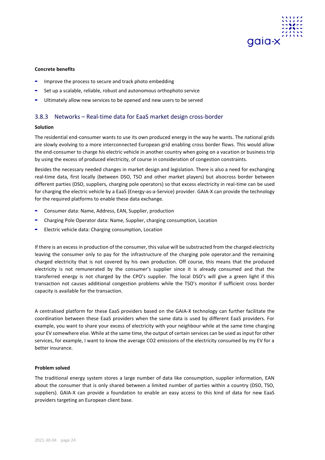

## **Concrete benefits**

- **-** Improve the process to secure and track photo embedding
- **-** Set up a scalable, reliable, robust and autonomous orthophoto service
- **-** Ultimately allow new services to be opened and new users to be served

## <span id="page-24-0"></span>3.8.3 Networks – Real-time data for EaaS market design cross-border

## **Solution**

The residential end-consumer wants to use its own produced energy in the way he wants. The national grids are slowly evolving to a more interconnected European grid enabling cross border flows. This would allow the end-consumer to charge his electric vehicle in another country when going on a vacation or business trip by using the excess of produced electricity, of course in consideration of congestion constraints.

Besides the necessary needed changes in market design and legislation. There is also a need for exchanging real-time data, first locally (between DSO, TSO and other market players) but alsocross border between different parties (DSO, suppliers, charging pole operators) so that excess electricity in real-time can be used for charging the electric vehicle by a EaaS (Energy-as-a-Service) provider. GAIA-X can provide the technology for the required platforms to enable these data exchange.

- **-** Consumer data: Name, Address, EAN, Supplier, production
- **-** Charging Pole Operator data: Name, Supplier, charging consumption, Location
- **-** Electric vehicle data: Charging consumption, Location

If there is an excess in production of the consumer, this value will be substracted from the charged electricity leaving the consumer only to pay for the infrastructure of the charging pole operator.and the remaining charged electricity that is not covered by his own production. Off course, this means that the produced electricity is not remunerated by the consumer's supplier since it is already consumed and that the transferred energy is not charged by the CPO's supplier. The local DSO's will give a green light if this transaction not causes additional congestion problems while the TSO's monitor if sufficient cross border capacity is available for the transaction.

A centralised platform for these EaaS providers based on the GAIA-X technology can further facilitate the coordination between these EaaS providers when the same data is used by different EaaS providers. For example, you want to share your excess of electricity with your neighbour while at the same time charging your EV somewhere else. While at the same time, the output of certain services can be used as input for other services, for example, I want to know the average CO2 emissions of the electricity consumed by my EV for a better insurance.

## **Problem solved**

The traditional energy system stores a large number of data like consumption, supplier information, EAN about the consumer that is only shared between a limited number of parties within a country (DSO, TSO, suppliers). GAIA-X can provide a foundation to enable an easy access to this kind of data for new EaaS providers targeting an European client base.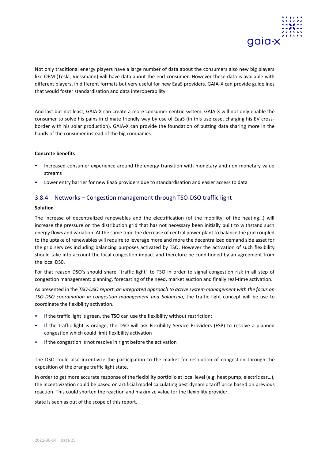

Not only traditional energy players have a large number of data about the consumers also new big players like OEM (Tesla, Viessmann) will have data about the end-consumer. However these data is available with different players, in different formats but very useful for new EaaS providers. GAIA-X can provide guidelines that would foster standardisation and data interoperability.

And last but not least, GAIA-X can create a more consumer centric system. GAIA-X will not only enable the consumer to solve his pains in climate friendly way by use of EaaS (in this use case, charging his EV crossborder with his solar production). GAIA-X can provide the foundation of putting data sharing more in the hands of the consumer instead of the big companies.

## **Concrete benefits**

- **-** Increased consumer experience around the energy transition with monetary and non monetary value streams
- **-** Lower entry barrier for new EaaS providers due to standardisation and easier access to data

## <span id="page-25-0"></span>3.8.4 Networks – Congestion management through TSO-DSO traffic light

## **Solution**

The increase of decentralized renewables and the electrification (of the mobility, of the heating…) will increase the pressure on the distribution grid that has not necessary been initially built to withstand such energy flows and variation. At the same time the decrease of central power plant to balance the grid coupled to the uptake of renewables will require to leverage more and more the decentralized demand side asset for the grid services including balancing purposes activated by TSO. However the activation of such flexibility should take into account the local congestion impact and therefore be conditioned by an agreement from the local DS0.

For that reason DSO's should share "traffic light" to TSO in order to signal congestion risk in all step of congestion management: planning, forecasting of the need, market auction and finally real-time activation.

As presented in the *TSO-DSO report: an integrated approach to active system management with the focus on TSO-DSO coordination in congestion management and balancing*, the traffic light concept will be use to coordinate the flexibility activation.

- **-** If the traffic light is green, the TSO can use the flexibility without restriction;
- **-** If the traffic light is orange, the DSO will ask Flexibility Service Providers (FSP) to resolve a planned congestion which could limit flexibility activation
- **-** If the congestion is not resolve in right before the activation

The DSO could also incentivize the participation to the market for resolution of congestion through the exposition of the orange traffic light state.

In order to get more accurate response of the flexibility portfolio at local level (e.g. heat pump, electric car…), the incentivization could be based on artificial model calculating best dynamic tariff price based on previous reaction. This could shorten the reaction and maximize value for the flexibility provider.

state is seen as out of the scope of this report.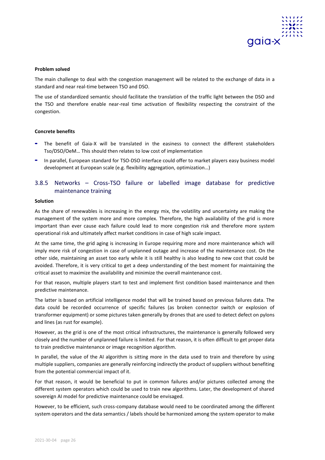

The main challenge to deal with the congestion management will be related to the exchange of data in a standard and near real-time between TSO and DSO.

The use of standardized semantic should facilitate the translation of the traffic light between the DSO and the TSO and therefore enable near-real time activation of flexibility respecting the constraint of the congestion.

## **Concrete benefits**

- **-** The benefit of Gaia-X will be translated in the easiness to connect the different stakeholders Tso/DSO/OeM… This should then relates to low cost of implementation
- **-** In parallel, European standard for TSO-DSO interface could offer to market players easy business model development at European scale (e.g. flexibility aggregation, optimization…)

## <span id="page-26-0"></span>3.8.5 Networks – Cross-TSO failure or labelled image database for predictive maintenance training

## **Solution**

As the share of renewables is increasing in the energy mix, the volatility and uncertainty are making the management of the system more and more complex. Therefore, the high availability of the grid is more important than ever cause each failure could lead to more congestion risk and therefore more system operational risk and ultimately affect market conditions in case of high scale impact.

At the same time, the grid aging is increasing in Europe requiring more and more maintenance which will imply more risk of congestion in case of unplanned outage and increase of the maintenance cost. On the other side, maintaining an asset too early while it is still healthy is also leading to new cost that could be avoided. Therefore, it is very critical to get a deep understanding of the best moment for maintaining the critical asset to maximize the availability and minimize the overall maintenance cost.

For that reason, multiple players start to test and implement first condition based maintenance and then predictive maintenance.

The latter is based on artificial intelligence model that will be trained based on previous failures data. The data could be recorded occurrence of specific failures (as broken connector switch or explosion of transformer equipment) or some pictures taken generally by drones that are used to detect defect on pylons and lines (as rust for example).

However, as the grid is one of the most critical infrastructures, the maintenance is generally followed very closely and the number of unplanned failure is limited. For that reason, it is often difficult to get proper data to train predictive maintenance or image recognition algorithm.

In parallel, the value of the AI algorithm is sitting more in the data used to train and therefore by using multiple suppliers, companies are generally reinforcing indirectly the product of suppliers without benefiting from the potential commercial impact of it.

For that reason, it would be beneficial to put in common failures and/or pictures collected among the different system operators which could be used to train new algorithms. Later, the development of shared sovereign AI model for predictive maintenance could be envisaged.

However, to be efficient, such cross-company database would need to be coordinated among the different system operators and the data semantics / labels should be harmonized among the system operator to make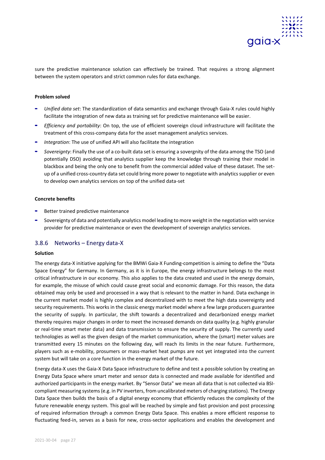

sure the predictive maintenance solution can effectively be trained. That requires a strong alignment between the system operators and strict common rules for data exchange.

## **Problem solved**

- **-** *Unified data set*: The standardization of data semantics and exchange through Gaia-X rules could highly facilitate the integration of new data as training set for predictive maintenance will be easier.
- **-** *Efficiency and portability*: On top, the use of efficient sovereign cloud infrastructure will facilitate the treatment of this cross-company data for the asset management analytics services.
- **-** *Integration*: The use of unified API will also facilitate the integration
- **-** *Sovereignty*: Finally the use of a co-built data set is ensuring a sovergnity of the data among the TSO (and potentially DSO) avoiding that analytics supplier keep the knowledge through training their model in blackbox and being the only one to benefit from the commercial added value of these dataset. The setup of a unified cross-country data set could bring more power to negotiate with analytics supplier or even to develop own analytics services on top of the unified data-set

## **Concrete benefits**

- **-** Better trained predictive maintenance
- **-** Sovereignty of data and potentially analytics model leading to more weight in the negotiation with service provider for predictive maintenance or even the development of sovereign analytics services.

## <span id="page-27-0"></span>3.8.6 Networks – Energy data-X

## **Solution**

The energy data-X initiative applying for the BMWi Gaia-X Funding-competition is aiming to define the "Data Space Energy" for Germany. In Germany, as it is in Europe, the energy infrastructure belongs to the most critical infrastructure in our economy. This also applies to the data created and used in the energy domain, for example, the misuse of which could cause great social and economic damage. For this reason, the data obtained may only be used and processed in a way that is relevant to the matter in hand. Data exchange in the current market model is highly complex and decentralized with to meet the high data sovereignty and security requirements. This works in the classic energy market model where a few large producers guarantee the security of supply. In particular, the shift towards a decentralized and decarbonized energy market thereby requires major changes in order to meet the increased demands on data quality (e.g. highly granular or real-time smart meter data) and data transmission to ensure the security of supply. The currently used technologies as well as the given design of the market communication, where the (smart) meter values are transmitted every 15 minutes on the following day, will reach its limits in the near future. Furthermore, players such as e-mobility, prosumers or mass-market heat pumps are not yet integrated into the current system but will take on a core function in the energy market of the future.

Energy data-X uses the Gaia-X Data Space infrastructure to define and test a possible solution by creating an Energy Data Space where smart meter and sensor data is connected and made available for identified and authorized participants in the energy market. By "Sensor Data" we mean all data that is not collected via BSIcompliant measuring systems (e.g. in PV inverters, from uncalibrated meters of charging stations). The Energy Data Space then builds the basis of a digital energy economy that efficiently reduces the complexity of the future renewable energy system. This goal will be reached by simple and fast provision and post processing of required information through a common Energy Data Space. This enables a more efficient response to fluctuating feed-in, serves as a basis for new, cross-sector applications and enables the development and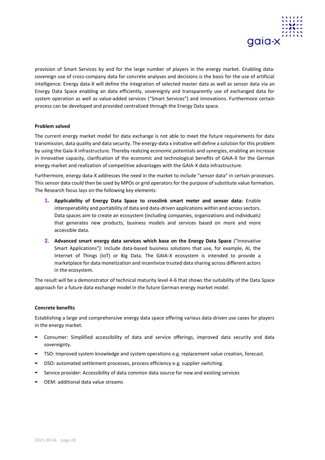

provision of Smart Services by and for the large number of players in the energy market. Enabling datasovereign use of cross-company data for concrete analyses and decisions is the basis for the use of artificial intelligence. Energy data-X will define the integration of selected master data as well as sensor data via an Energy Data Space enabling an data efficiently, sovereignly and transparently use of exchanged data for system operation as well as value-added services ("Smart Services") and innovations. Furthermore certain process can be developed and provided centralized through the Energy Data space.

## **Problem solved**

The current energy market model for data exchange is not able to meet the future requirements for data transmission, data quality and data security. The energy-data x initiative will define a solution for this problem by using the Gaia-X infrastructure. Thereby realizing economic potentials and synergies, enabling an increase in innovative capacity, clarification of the economic and technological benefits of GAIA-X for the German energy market and realization of competitive advantages with the GAIA-X data infrastructure.

Furthermore, energy data-X addresses the need in the market to include "sensor data" in certain processes. This sensor data could then be used by MPOs or grid operators for the purpose of substitute value formation. The Research focus lays on the following key elements:

- **1. Applicability of Energy Data Space to crosslink smart meter and sensor data:** Enable interoperability and portability of data and data-driven applications within and across sectors. Data spaces aim to create an ecosystem (including companies, organizations and individuals) that generates new products, business models and services based on more and more accessible data.
- **2. Advanced smart energy data services which base on the Energy Data Space** ("Innovative Smart Applications"): Include data-based business solutions that use, for example, AI, the Internet of Things (IoT) or Big Data. The GAIA-X ecosystem is intended to provide a marketplace for data monetization and incentivize trusted data sharing across different actors in the ecosystem.

The result will be a demonstrator of technical maturity level 4-6 that shows the suitability of the Data Space approach for a future data exchange model in the future German energy market model.

## **Concrete benefits**

Establishing a large and comprehensive energy data space offering various data driven use cases for players in the energy market.

- **-** Consumer: Simplified accessibility of data and service offerings, improved data security and data sovereignty.
- **-** TSO: Improved system knowledge and system operations e.g. replacement value creation, forecast.
- **-** DSO: automated settlement processes, process efficiency e.g. supplier switching.
- **-** Service provider: Accessibility of data common data source for new and existing services
- <span id="page-28-0"></span>**-** OEM: additional data value streams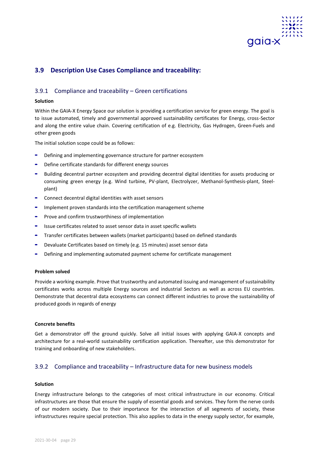

## **3.9 Description Use Cases Compliance and traceability:**

## <span id="page-29-0"></span>3.9.1 Compliance and traceability – Green certifications

## **Solution**

Within the GAIA-X Energy Space our solution is providing a certification service for green energy. The goal is to issue automated, timely and governmental approved sustainability certificates for Energy, cross-Sector and along the entire value chain. Covering certification of e.g. Electricity, Gas Hydrogen, Green-Fuels and other green goods

The initial solution scope could be as follows:

- **-** Defining and implementing governance structure for partner ecosystem
- **-** Define certificate standards for different energy sources
- **-** Building decentral partner ecosystem and providing decentral digital identities for assets producing or consuming green energy (e.g. Wind turbine, PV-plant, Electrolyzer, Methanol-Synthesis-plant, Steelplant)
- **-** Connect decentral digital identities with asset sensors
- **-** Implement proven standards into the certification management scheme
- **-** Prove and confirm trustworthiness of implementation
- **-** Issue certificates related to asset sensor data in asset specific wallets
- **-** Transfer certificates between wallets (market participants) based on defined standards
- **-** Devaluate Certificates based on timely (e.g. 15 minutes) asset sensor data
- **-** Defining and implementing automated payment scheme for certificate management

## **Problem solved**

Provide a working example. Prove that trustworthy and automated issuing and management of sustainability certificates works across multiple Energy sources and industrial Sectors as well as across EU countries. Demonstrate that decentral data ecosystems can connect different industries to prove the sustainability of produced goods in regards of energy

## **Concrete benefits**

Get a demonstrator off the ground quickly. Solve all initial issues with applying GAIA-X concepts and architecture for a real-world sustainability certification application. Thereafter, use this demonstrator for training and onboarding of new stakeholders.

## <span id="page-29-1"></span>3.9.2 Compliance and traceability – Infrastructure data for new business models

## **Solution**

Energy infrastructure belongs to the categories of most critical infrastructure in our economy. Critical infrastructures are those that ensure the supply of essential goods and services. They form the nerve cords of our modern society. Due to their importance for the interaction of all segments of society, these infrastructures require special protection. This also applies to data in the energy supply sector, for example,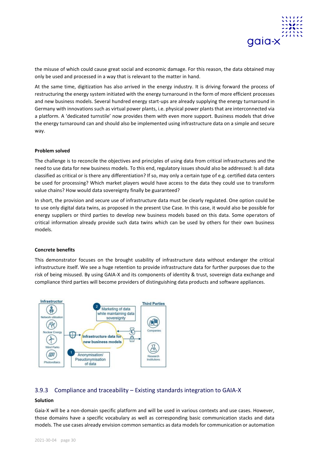

the misuse of which could cause great social and economic damage. For this reason, the data obtained may only be used and processed in a way that is relevant to the matter in hand.

At the same time, digitization has also arrived in the energy industry. It is driving forward the process of restructuring the energy system initiated with the energy turnaround in the form of more efficient processes and new business models. Several hundred energy start-ups are already supplying the energy turnaround in Germany with innovations such as virtual power plants, i.e. physical power plants that are interconnected via a platform. A 'dedicated turnstile' now provides them with even more support. Business models that drive the energy turnaround can and should also be implemented using infrastructure data on a simple and secure way.

## **Problem solved**

The challenge is to reconcile the objectives and principles of using data from critical infrastructures and the need to use data for new business models. To this end, regulatory issues should also be addressed: Is all data classified as critical or is there any differentiation? If so, may only a certain type of e.g. certified data centers be used for processing? Which market players would have access to the data they could use to transform value chains? How would data sovereignty finally be guaranteed?

In short, the provision and secure use of infrastructure data must be clearly regulated. One option could be to use only digital data twins, as proposed in the present Use Case. In this case, it would also be possible for energy suppliers or third parties to develop new business models based on this data. Some operators of critical information already provide such data twins which can be used by others for their own business models.

## **Concrete benefits**

This demonstrator focuses on the brought usability of infrastructure data without endanger the critical infrastructure itself. We see a huge retention to provide infrastructure data for further purposes due to the risk of being misused. By using GAIA-X and its components of identity & trust, sovereign data exchange and compliance third parties will become providers of distinguishing data products and software appliances.



## <span id="page-30-0"></span>3.9.3 Compliance and traceability – Existing standards integration to GAIA-X

## **Solution**

Gaia-X will be a non-domain specific platform and will be used in various contexts and use cases. However, those domains have a specific vocabulary as well as corresponding basic communication stacks and data models. The use cases already envision common semantics as data models for communication or automation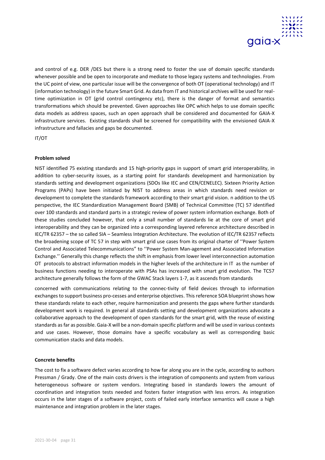

and control of e.g. DER /DES but there is a strong need to foster the use of domain specific standards whenever possible and be open to incorporate and mediate to those legacy systems and technologies. From the UC point of view, one particular issue will be the convergence of both OT (operational technology) and IT (information technology) in the future Smart Grid. As data from IT and historical archives will be used for realtime optimization in OT (grid control contingency etc), there is the danger of format and semantics transformations which should be prevented. Given approaches like OPC which helps to use domain specific data models as address spaces, such an open approach shall be considered and documented for GAIA-X infrastructure services. Existing standards shall be screened for compatibility with the envisioned GAIA-X infrastructure and fallacies and gaps be documented.

IT/OT

## **Problem solved**

NIST identified 75 existing standards and 15 high-priority gaps in support of smart grid interoperability, in addition to cyber-security issues, as a starting point for standards development and harmonization by standards setting and development organizations (SDOs like IEC and CEN/CENELEC). Sixteen Priority Action Programs (PAPs) have been initiated by NIST to address areas in which standards need revision or development to complete the standards framework according to their smart grid vision. n addition to the US perspective, the IEC Standardization Management Board (SMB) of Technical Committee (TC) 57 identified over 100 standards and standard parts in a strategic review of power system information exchange. Both of these studies concluded however, that only a small number of standards lie at the core of smart grid interoperability and they can be organized into a corresponding layered reference architecture described in IEC/TR 62357 – the so called SIA – Seamless Integration Architecture. The evolution of IEC/TR 62357 reflects the broadening scope of TC 57 in step with smart grid use cases from its original charter of ''Power System Control and Associated Telecommunications" to "Power System Man-agement and Associated Information Exchange.'' Generally this change reflects the shift in emphasis from lower level interconnection automation OT protocols to abstract information models in the higher levels of the architecture in IT as the number of business functions needing to interoperate with PSAs has increased with smart grid evolution. The TC57 architecture generally follows the form of the GWAC Stack layers 1-7, as it ascends from standards

concerned with communications relating to the connec-tivity of field devices through to information exchanges to support business pro-cesses and enterprise objectives. This reference SOA blueprint shows how these standards relate to each other, require harmonization and presents the gaps where further standards development work is required. In general all standards setting and development organizations advocate a collaborative approach to the development of open standards for the smart grid, with the reuse of existing standards as far as possible. Gaia-X will be a non-domain specific platform and will be used in various contexts and use cases. However, those domains have a specific vocabulary as well as corresponding basic communication stacks and data models.

## **Concrete benefits**

The cost to fix a software defect varies according to how far along you are in the cycle, according to authors Pressman / Grady. One of the main costs drivers is the integration of components and system from various heterogeneous software or system vendors. Integrating based in standards lowers the amount of coordination and integration tests needed and fosters faster integration with less errors. As integration occurs in the later stages of a software project, costs of failed early interface semantics will cause a high maintenance and integration problem in the later stages.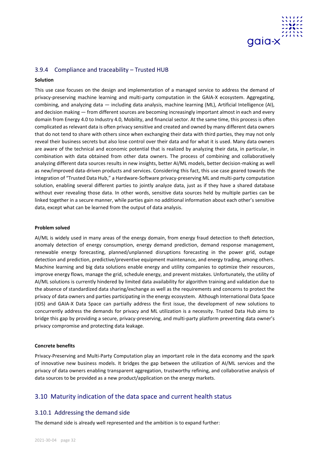

## <span id="page-32-0"></span>3.9.4 Compliance and traceability – Trusted HUB

## **Solution**

This use case focuses on the design and implementation of a managed service to address the demand of privacy-preserving machine learning and multi-party computation in the GAIA-X ecosystem. Aggregating, combining, and analyzing data — including data analysis, machine learning (ML), Artificial Intelligence (AI), and decision making — from different sources are becoming increasingly important almost in each and every domain from Energy 4.0 to Industry 4.0, Mobility, and financial sector. At the same time, this process is often complicated as relevant data is often privacy sensitive and created and owned by many different data owners that do not tend to share with others since when exchanging their data with third parties, they may not only reveal their business secrets but also lose control over their data and for what it is used. Many data owners are aware of the technical and economic potential that is realized by analyzing their data, in particular, in combination with data obtained from other data owners. The process of combining and collaboratively analyzing different data sources results in new insights, better AI/ML models, better decision-making as well as new/improved data-driven products and services. Considering this fact, this use case geared towards the integration of "Trusted Data Hub," a Hardware-Software privacy-preserving ML and multi-party computation solution, enabling several different parties to jointly analyze data, just as if they have a shared database without ever revealing those data. In other words, sensitive data sources held by multiple parties can be linked together in a secure manner, while parties gain no additional information about each other's sensitive data, except what can be learned from the output of data analysis.

## **Problem solved**

AI/ML is widely used in many areas of the energy domain, from energy fraud detection to theft detection, anomaly detection of energy consumption, energy demand prediction, demand response management, renewable energy forecasting, planned/unplanned disruptions forecasting in the power grid, outage detection and prediction, predictive/preventive equipment maintenance, and energy trading, among others. Machine learning and big data solutions enable energy and utility companies to optimize their resources, improve energy flows, manage the grid, schedule energy, and prevent mistakes. Unfortunately, the utility of AI/ML solutions is currently hindered by limited data availability for algorithm training and validation due to the absence of standardized data sharing/exchange as well as the requirements and concerns to protect the privacy of data owners and parties participating in the energy ecosystem. Although International Data Space (IDS) and GAIA-X Data Space can partially address the first issue, the development of new solutions to concurrently address the demands for privacy and ML utilization is a necessity. Trusted Data Hub aims to bridge this gap by providing a secure, privacy-preserving, and multi-party platform preventing data owner's privacy compromise and protecting data leakage.

## **Concrete benefits**

Privacy-Preserving and Multi-Party Computation play an important role in the data economy and the spark of innovative new business models. It bridges the gap between the utilization of AI/ML services and the privacy of data owners enabling transparent aggregation, trustworthy refining, and collaborative analysis of data sources to be provided as a new product/application on the energy markets.

## <span id="page-32-1"></span>3.10 Maturity indication of the data space and current health status

## <span id="page-32-2"></span>3.10.1 Addressing the demand side

The demand side is already well represented and the ambition is to expand further: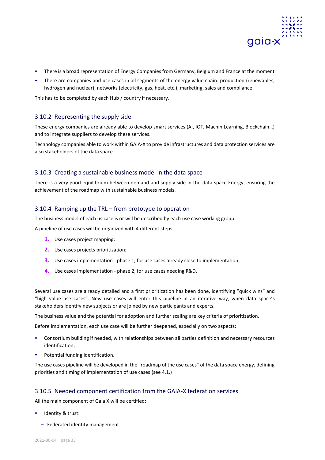

- **-** There is a broad representation of Energy Companies from Germany, Belgium and France at the moment
- **-** There are companies and use cases in all segments of the energy value chain: production (renewables, hydrogen and nuclear), networks (electricity, gas, heat, etc.), marketing, sales and compliance

This has to be completed by each Hub / country if necessary.

## <span id="page-33-0"></span>3.10.2 Representing the supply side

These energy companies are already able to develop smart services (AI, IOT, Machin Learning, Blockchain…) and to integrate suppliers to develop these services.

Technology companies able to work within GAIA-X to provide infrastructures and data protection services are also stakeholders of the data space.

## <span id="page-33-1"></span>3.10.3 Creating a sustainable business model in the data space

There is a very good equilibrium between demand and supply side in the data space Energy, ensuring the achievement of the roadmap with sustainable business models.

## <span id="page-33-2"></span>3.10.4 Ramping up the TRL – from prototype to operation

The business model of each us case is or will be described by each use case working group.

A pipeline of use cases will be organized with 4 different steps:

- **1.** Use cases project mapping;
- **2.** Use cases projects prioritization;
- **3.** Use cases implementation phase 1, for use cases already close to implementation;
- **4.** Use cases Implementation phase 2, for use cases needing R&D.

Several use cases are already detailed and a first prioritization has been done, identifying "quick wins" and "high value use cases". New use cases will enter this pipeline in an iterative way, when data space's stakeholders identify new subjects or are joined by new participants and experts.

The business value and the potential for adoption and further scaling are key criteria of prioritization.

Before implementation, each use case will be further deepened, especially on two aspects:

- **-** Consortium building if needed, with relationships between all parties definition and necessary resources identification;
- **-** Potential funding identification.

The use cases pipeline will be developed in the "roadmap of the use cases" of the data space energy, defining priorities and timing of implementation of use cases (see 4.1.)

## <span id="page-33-3"></span>3.10.5 Needed component certification from the GAIA-X federation services

All the main component of Gaia X will be certified:

- **-** Identity & trust:
	- **-** Federated identity management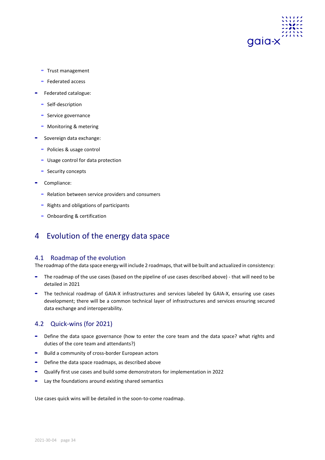

- **-** Trust management
- **-** Federated access
- **-** Federated catalogue:
	- **-** Self-description
	- **-** Service governance
	- **-** Monitoring & metering
- **-** Sovereign data exchange:
	- **-** Policies & usage control
	- **-** Usage control for data protection
	- **-** Security concepts
- **-** Compliance:
	- **-** Relation between service providers and consumers
	- **-** Rights and obligations of participants
	- **-** Onboarding & certification

## <span id="page-34-0"></span>4 Evolution of the energy data space

## <span id="page-34-1"></span>4.1 Roadmap of the evolution

The roadmap of the data space energy will include 2 roadmaps, that will be built and actualized in consistency:

- **-** The roadmap of the use cases (based on the pipeline of use cases described above) that will need to be detailed in 2021
- **-** The technical roadmap of GAIA-X infrastructures and services labeled by GAIA-X, ensuring use cases development; there will be a common technical layer of infrastructures and services ensuring secured data exchange and interoperability.

## <span id="page-34-2"></span>4.2 Quick-wins (for 2021)

- **-** Define the data space governance (how to enter the core team and the data space? what rights and duties of the core team and attendants?)
- **-** Build a community of cross-border European actors
- **-** Define the data space roadmaps, as described above
- **-** Qualify first use cases and build some demonstrators for implementation in 2022
- **-** Lay the foundations around existing shared semantics

Use cases quick wins will be detailed in the soon-to-come roadmap.